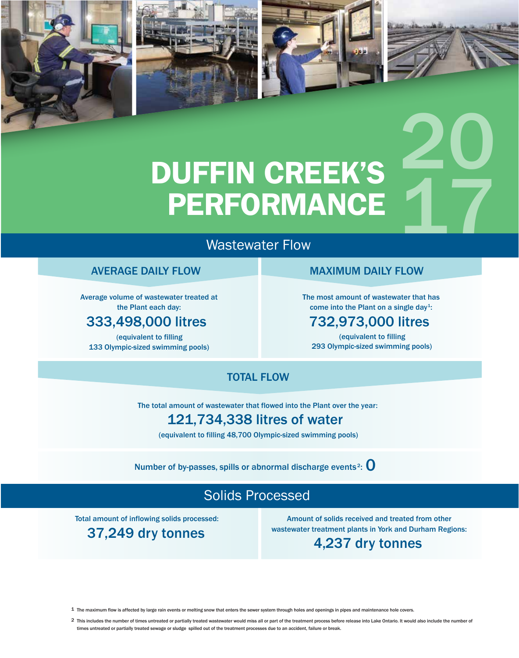

## Wastewater Flow

#### AVERAGE DAILY FLOW

Average volume of wastewater treated at the Plant each day:

#### 333,498,000 litres

(equivalent to filling 133 Olympic-sized swimming pools)

#### MAXIMUM DAILY FLOW

20

The most amount of wastewater that has come into the Plant on a single day<sup>1</sup>:

#### 732,973,000 litres

(equivalent to filling 293 Olympic-sized swimming pools)

#### TOTAL FLOW

The total amount of wastewater that flowed into the Plant over the year:

### 121,734,338 litres of water

(equivalent to filling 48,700 Olympic-sized swimming pools)

Number of by-passes, spills or abnormal discharge events<sup>2</sup>:  $\mathbf 0$ 

## Solids Processed

Total amount of inflowing solids processed:

37,249 dry tonnes

Amount of solids received and treated from other wastewater treatment plants in York and Durham Regions:

#### 4,237 dry tonnes

1 The maximum flow is affected by large rain events or melting snow that enters the sewer system through holes and openings in pipes and maintenance hole covers.

2 This includes the number of times untreated or partially treated wastewater would miss all or part of the treatment process before release into Lake Ontario. It would also include the number of times untreated or partially treated sewage or sludge spilled out of the treatment processes due to an accident, failure or break.